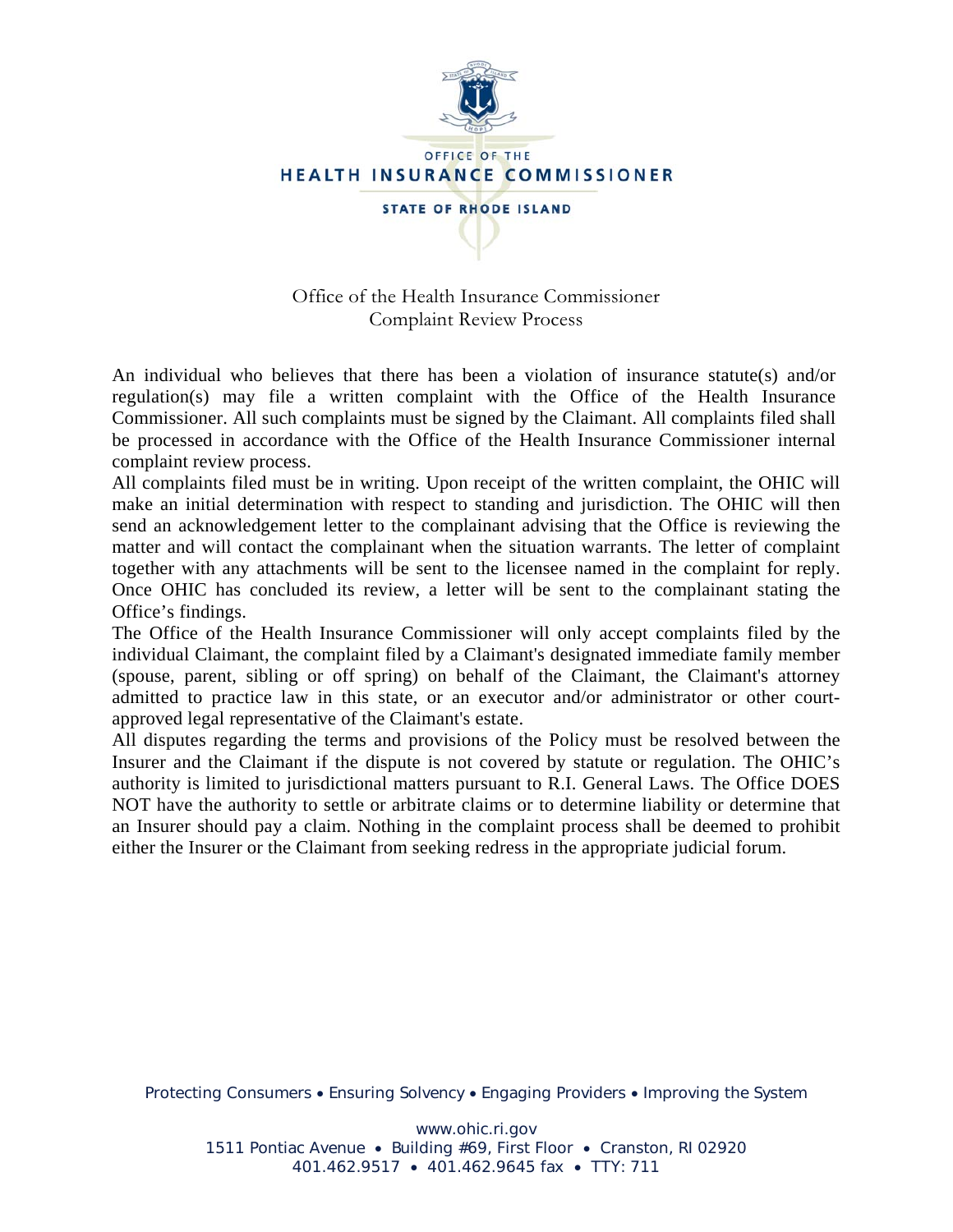

Office of the Health Insurance Commissioner Complaint Review Process

An individual who believes that there has been a violation of insurance statute(s) and/or regulation(s) may file a written complaint with the Office of the Health Insurance Commissioner. All such complaints must be signed by the Claimant. All complaints filed shall be processed in accordance with the Office of the Health Insurance Commissioner internal complaint review process.

All complaints filed must be in writing. Upon receipt of the written complaint, the OHIC will make an initial determination with respect to standing and jurisdiction. The OHIC will then send an acknowledgement letter to the complainant advising that the Office is reviewing the matter and will contact the complainant when the situation warrants. The letter of complaint together with any attachments will be sent to the licensee named in the complaint for reply. Once OHIC has concluded its review, a letter will be sent to the complainant stating the Office's findings.

The Office of the Health Insurance Commissioner will only accept complaints filed by the individual Claimant, the complaint filed by a Claimant's designated immediate family member (spouse, parent, sibling or off spring) on behalf of the Claimant, the Claimant's attorney admitted to practice law in this state, or an executor and/or administrator or other courtapproved legal representative of the Claimant's estate.

All disputes regarding the terms and provisions of the Policy must be resolved between the Insurer and the Claimant if the dispute is not covered by statute or regulation. The OHIC's authority is limited to jurisdictional matters pursuant to R.I. General Laws. The Office DOES NOT have the authority to settle or arbitrate claims or to determine liability or determine that an Insurer should pay a claim. Nothing in the complaint process shall be deemed to prohibit either the Insurer or the Claimant from seeking redress in the appropriate judicial forum.

Protecting Consumers • Ensuring Solvency • Engaging Providers • Improving the System

www.ohic.ri.gov

1511 Pontiac Avenue • Building #69, First Floor • Cranston, RI 02920 401.462.9517 • 401.462.9645 fax • TTY: 711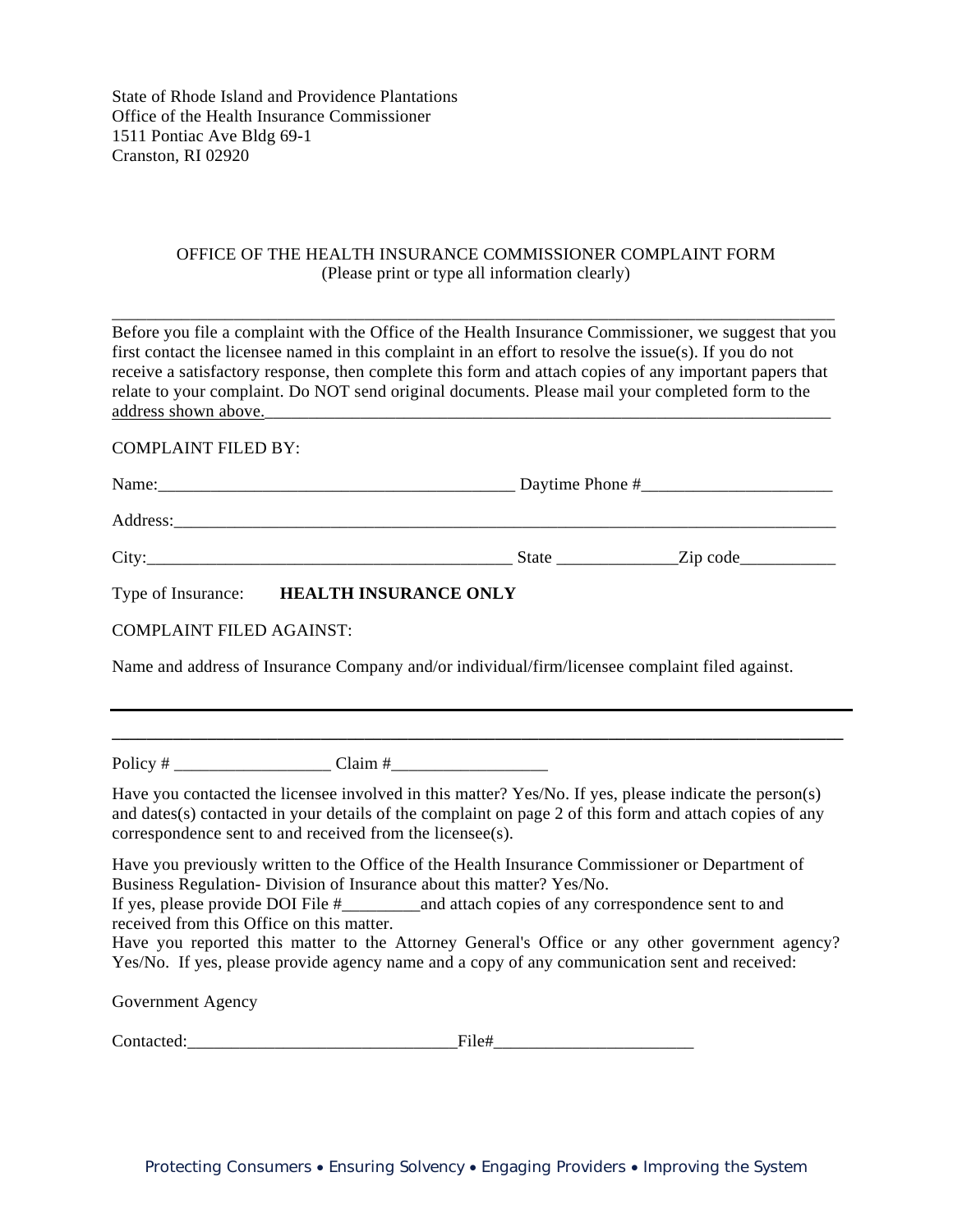State of Rhode Island and Providence Plantations Office of the Health Insurance Commissioner 1511 Pontiac Ave Bldg 69-1 Cranston, RI 02920

## OFFICE OF THE HEALTH INSURANCE COMMISSIONER COMPLAINT FORM (Please print or type all information clearly)

Before you file a complaint with the Office of the Health Insurance Commissioner, we suggest that you first contact the licensee named in this complaint in an effort to resolve the issue(s). If you do not receive a satisfactory response, then complete this form and attach copies of any important papers that relate to your complaint. Do NOT send original documents. Please mail your completed form to the address shown above.

\_\_\_\_\_\_\_\_\_\_\_\_\_\_\_\_\_\_\_\_\_\_\_\_\_\_\_\_\_\_\_\_\_\_\_\_\_\_\_\_\_\_\_\_\_\_\_\_\_\_\_\_\_\_\_\_\_\_\_\_\_\_\_\_\_\_\_\_\_\_\_\_\_\_\_\_\_\_\_\_\_\_\_

COMPLAINT FILED BY:

| Name:              |                              |       |                |  |
|--------------------|------------------------------|-------|----------------|--|
| Address:           |                              |       |                |  |
| City:              |                              | State | $\chi$ ip code |  |
| Type of Insurance: | <b>HEALTH INSURANCE ONLY</b> |       |                |  |

COMPLAINT FILED AGAINST:

Name and address of Insurance Company and/or individual/firm/licensee complaint filed against.

Policy # \_\_\_\_\_\_\_\_\_\_\_\_\_\_\_\_\_\_ Claim #\_\_\_\_\_\_\_\_\_\_\_\_\_\_\_\_\_\_

Have you contacted the licensee involved in this matter? Yes/No. If yes, please indicate the person(s) and dates(s) contacted in your details of the complaint on page 2 of this form and attach copies of any correspondence sent to and received from the licensee(s).

**\_\_\_\_\_\_\_\_\_\_\_\_\_\_\_\_\_\_\_\_\_\_\_\_\_\_\_\_\_\_\_\_\_\_\_\_\_\_\_\_\_\_\_\_\_\_\_\_\_\_\_\_\_\_\_\_\_\_\_\_\_\_\_\_\_\_\_\_\_\_\_\_\_\_\_\_\_\_\_\_\_\_\_\_** 

Have you previously written to the Office of the Health Insurance Commissioner or Department of Business Regulation- Division of Insurance about this matter? Yes/No. If yes, please provide DOI File #\_\_\_\_\_\_\_\_\_and attach copies of any correspondence sent to and received from this Office on this matter.

Have you reported this matter to the Attorney General's Office or any other government agency? Yes/No. If yes, please provide agency name and a copy of any communication sent and received:

Government Agency

Contacted: File#